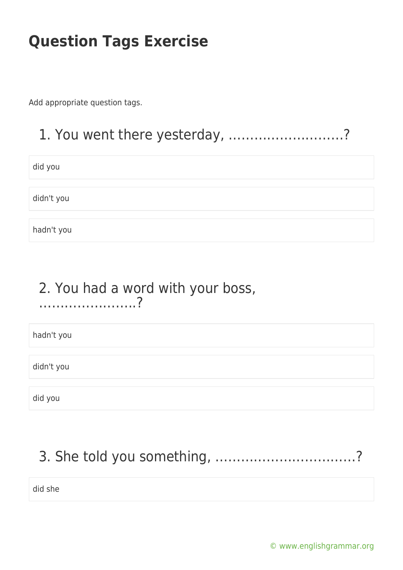Add appropriate question tags.

### 1. You went there yesterday, ………………………?

did you

didn't you

hadn't you

# 2. You had a word with your boss,

…………………..?

hadn't you

didn't you

did you

### 3. She told you something, ……………………………?

did she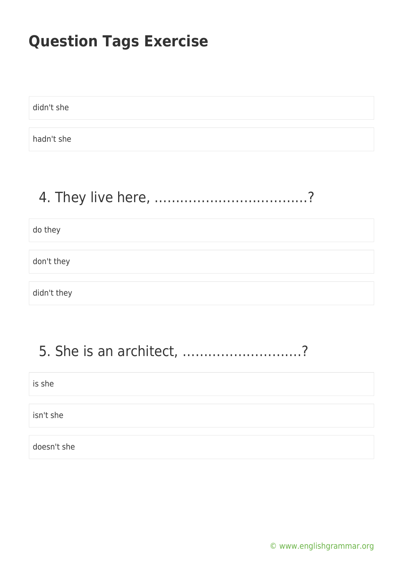didn't she

hadn't she

### 4. They live here, ………………………………?

do they

don't they

didn't they

### 5. She is an architect, ……………………….?

is she

isn't she

doesn't she

[© www.englishgrammar.org](https://www.englishgrammar.org/)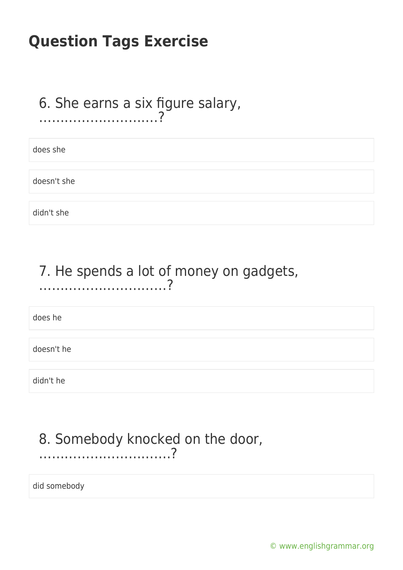#### 6. She earns a six figure salary, ……………………….?

does she

doesn't she

didn't she

### 7. He spends a lot of money on gadgets, …………………………?

does he

doesn't he

didn't he

### 8. Somebody knocked on the door, ………………………….?

did somebody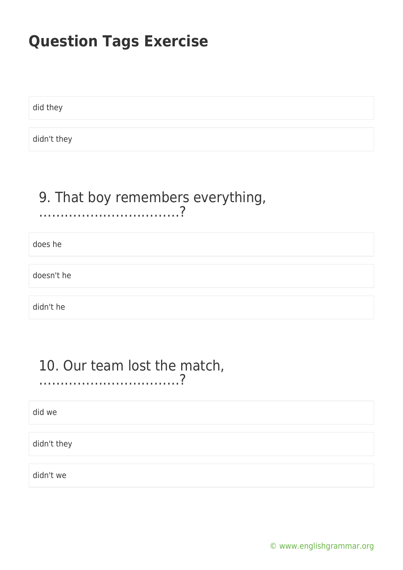did they

didn't they

#### 9. That boy remembers everything, ……………………………?

does he

doesn't he

didn't he

#### 10. Our team lost the match, ……………………………?

did we

didn't they

didn't we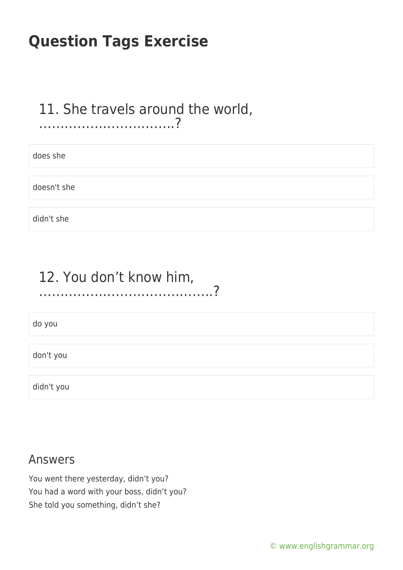#### 11. She travels around the world, …………………………..?

does she

doesn't she

didn't she

### 12. You don't know him, …………………………………..?

do you

don't you

didn't you

#### Answers

You went there yesterday, didn't you? You had a word with your boss, didn't you? She told you something, didn't she?